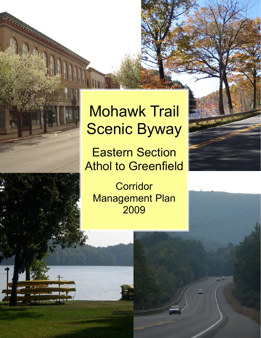# Mohawk Trail Scenic Byway

**A TANGALON** 

Eastern Section Athol to Greenfield

**Corridor** Management Plan 2009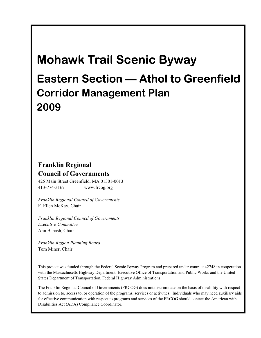## **Mohawk Trail Scenic Byway**

## **Eastern Section — Athol to Greenfield Corridor Management Plan 2009**

### **Franklin Regional Council of Governments**

425 Main Street Greenfield, MA 01301-0013 413-774-3167 www.frcog.org

*Franklin Regional Council of Governments*  F. Ellen McKay, Chair

*Franklin Regional Council of Governments Executive Committee*  Ann Banash, Chair

*Franklin Region Planning Board*  Tom Miner, Chair

This project was funded through the Federal Scenic Byway Program and prepared under contract 42748 in cooperation with the Massachusetts Highway Department, Executive Office of Transportation and Public Works and the United States Department of Transportation, Federal Highway Administrations

The Franklin Regional Council of Governments (FRCOG) does not discriminate on the basis of disability with respect to admission to, access to, or operation of the programs, services or activities. Individuals who may need auxiliary aids for effective communication with respect to programs and services of the FRCOG should contact the American with Disabilities Act (ADA) Compliance Coordinator.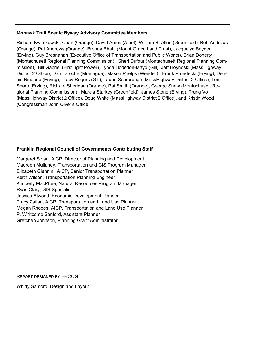#### **Mohawk Trail Scenic Byway Advisory Committee Members**

Richard Kwiatkowski, Chair (Orange), David Ames (Athol), William B. Allen (Greenfield), Bob Andrews (Orange), Pat Andrews (Orange), Brenda Bhatti (Mount Grace Land Trust), Jacquelyn Boyden (Erving), Guy Bresnahan (Executive Office of Transportation and Public Works), Brian Doherty (Montachusett Regional Planning Commission), Sheri Dufour (Montachusett Regional Planning Commission), Bill Gabriel (FirstLight Power), Lynda Hodsdon-Mayo (Gill), Jeff Hoynoski (MassHighway District 2 Office), Dan Laroche (Montague), Mason Phelps (Wendell), Frank Prondecki (Erving), Dennis Rindone (Erving), Tracy Rogers (Gill), Laurie Scarbrough (MassHighway District 2 Office), Tom Sharp (Erving), Richard Sheridan (Orange), Pat Smith (Orange), George Snow (Montachusett Regional Planning Commission), Marcia Starkey (Greenfield), James Stone (Erving), Trung Vo (MassHighway District 2 Office), Doug White (MassHighway District 2 Office), and Kristin Wood (Congressman John Olver's Office

### **Franklin Regional Council of Governments Contributing Staff**

Margaret Sloan, AICP, Director of Planning and Development Maureen Mullaney, Transportation and GIS Program Manager Elizabeth Giannini, AICP, Senior Transportation Planner Keith Wilson, Transportation Planning Engineer Kimberly MacPhee, Natural Resources Program Manager Ryan Clary, GIS Specialist Jessica Atwood, Economic Development Planner Tracy Zafian, AICP, Transportation and Land Use Planner Megan Rhodes, AICP, Transportation and Land Use Planner P. Whitcomb Sanford, Assistant Planner Gretchen Johnson, Planning Grant Administrator

REPORT DESIGNED BY FRCOG

Whitty Sanford, Design and Layout